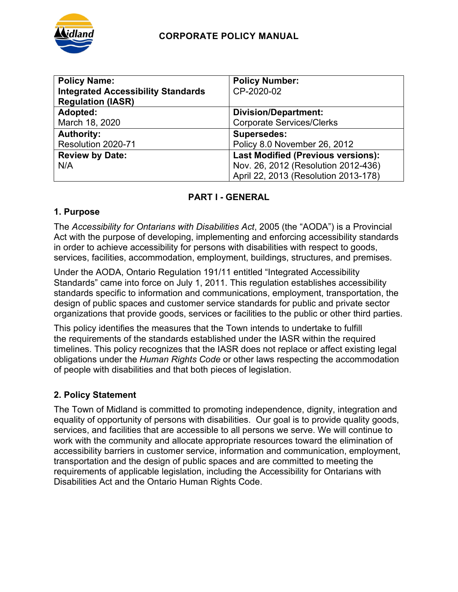

| <b>Policy Name:</b>                       | <b>Policy Number:</b>                     |
|-------------------------------------------|-------------------------------------------|
| <b>Integrated Accessibility Standards</b> | CP-2020-02                                |
| <b>Regulation (IASR)</b>                  |                                           |
| Adopted:                                  | <b>Division/Department:</b>               |
| March 18, 2020                            | <b>Corporate Services/Clerks</b>          |
| <b>Authority:</b>                         | <b>Supersedes:</b>                        |
| Resolution 2020-71                        | Policy 8.0 November 26, 2012              |
| <b>Review by Date:</b>                    | <b>Last Modified (Previous versions):</b> |
| N/A                                       | Nov. 26, 2012 (Resolution 2012-436)       |
|                                           | April 22, 2013 (Resolution 2013-178)      |

# **PART I - GENERAL**

## **1. Purpose**

The *Accessibility for Ontarians with Disabilities Act*, 2005 (the "AODA") is a Provincial Act with the purpose of developing, implementing and enforcing accessibility standards in order to achieve accessibility for persons with disabilities with respect to goods, services, facilities, accommodation, employment, buildings, structures, and premises.

Under the AODA, Ontario Regulation 191/11 entitled "Integrated Accessibility Standards" came into force on July 1, 2011. This regulation establishes accessibility standards specific to information and communications, employment, transportation, the design of public spaces and customer service standards for public and private sector organizations that provide goods, services or facilities to the public or other third parties.

This policy identifies the measures that the Town intends to undertake to fulfill the requirements of the standards established under the IASR within the required timelines. This policy recognizes that the IASR does not replace or affect existing legal obligations under the *Human Rights Code* or other laws respecting the accommodation of people with disabilities and that both pieces of legislation.

# **2. Policy Statement**

The Town of Midland is committed to promoting independence, dignity, integration and equality of opportunity of persons with disabilities. Our goal is to provide quality goods, services, and facilities that are accessible to all persons we serve. We will continue to work with the community and allocate appropriate resources toward the elimination of accessibility barriers in customer service, information and communication, employment, transportation and the design of public spaces and are committed to meeting the requirements of applicable legislation, including the Accessibility for Ontarians with Disabilities Act and the Ontario Human Rights Code.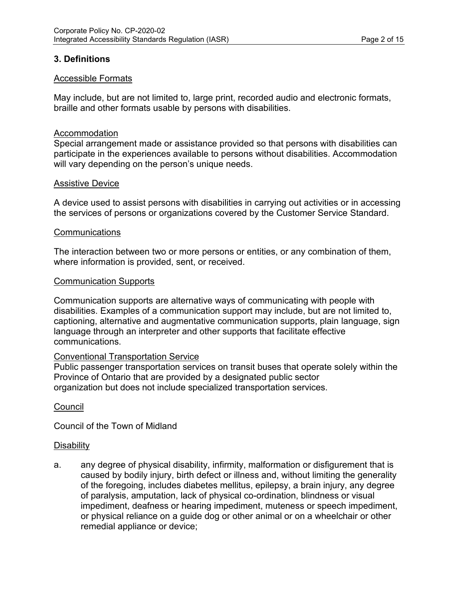#### **3. Definitions**

#### Accessible Formats

May include, but are not limited to, large print, recorded audio and electronic formats, braille and other formats usable by persons with disabilities.

#### Accommodation

Special arrangement made or assistance provided so that persons with disabilities can participate in the experiences available to persons without disabilities. Accommodation will vary depending on the person's unique needs.

#### Assistive Device

A device used to assist persons with disabilities in carrying out activities or in accessing the services of persons or organizations covered by the Customer Service Standard.

#### **Communications**

The interaction between two or more persons or entities, or any combination of them, where information is provided, sent, or received.

#### Communication Supports

Communication supports are alternative ways of communicating with people with disabilities. Examples of a communication support may include, but are not limited to, captioning, alternative and augmentative communication supports, plain language, sign language through an interpreter and other supports that facilitate effective communications.

#### Conventional Transportation Service

Public passenger transportation services on transit buses that operate solely within the Province of Ontario that are provided by a designated public sector organization but does not include specialized transportation services.

#### **Council**

Council of the Town of Midland

#### **Disability**

a. any degree of physical disability, infirmity, malformation or disfigurement that is caused by bodily injury, birth defect or illness and, without limiting the generality of the foregoing, includes diabetes mellitus, epilepsy, a brain injury, any degree of paralysis, amputation, lack of physical co-ordination, blindness or visual impediment, deafness or hearing impediment, muteness or speech impediment, or physical reliance on a guide dog or other animal or on a wheelchair or other remedial appliance or device;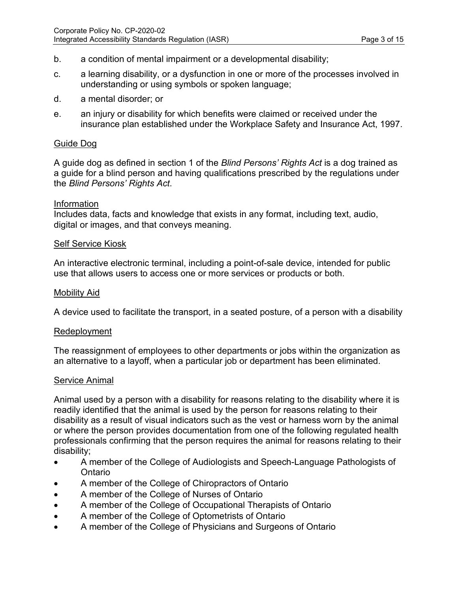- b. a condition of mental impairment or a developmental disability;
- c. a learning disability, or a dysfunction in one or more of the processes involved in understanding or using symbols or spoken language;
- d. a mental disorder; or
- e. an injury or disability for which benefits were claimed or received under the insurance plan established under the Workplace Safety and Insurance Act, 1997.

#### Guide Dog

A guide dog as defined in section 1 of the *Blind Persons' Rights Act* is a dog trained as a guide for a blind person and having qualifications prescribed by the regulations under the *Blind Persons' Rights Act*.

#### Information

Includes data, facts and knowledge that exists in any format, including text, audio, digital or images, and that conveys meaning.

#### Self Service Kiosk

An interactive electronic terminal, including a point-of-sale device, intended for public use that allows users to access one or more services or products or both.

#### Mobility Aid

A device used to facilitate the transport, in a seated posture, of a person with a disability

#### Redeployment

The reassignment of employees to other departments or jobs within the organization as an alternative to a layoff, when a particular job or department has been eliminated.

#### Service Animal

Animal used by a person with a disability for reasons relating to the disability where it is readily identified that the animal is used by the person for reasons relating to their disability as a result of visual indicators such as the vest or harness worn by the animal or where the person provides documentation from one of the following regulated health professionals confirming that the person requires the animal for reasons relating to their disability;

- A member of the College of Audiologists and Speech-Language Pathologists of Ontario
- A member of the College of Chiropractors of Ontario
- A member of the College of Nurses of Ontario
- A member of the College of Occupational Therapists of Ontario
- A member of the College of Optometrists of Ontario
- A member of the College of Physicians and Surgeons of Ontario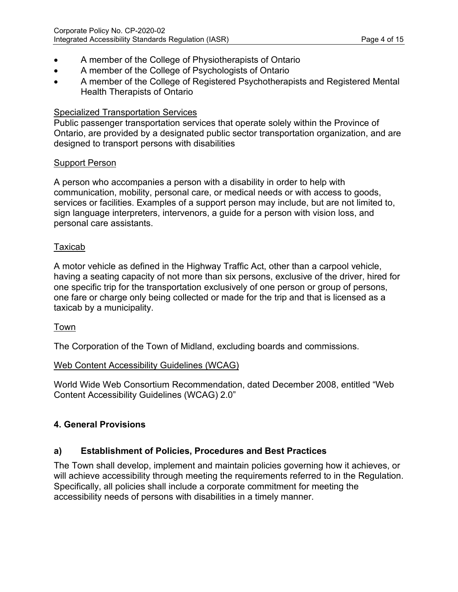- A member of the College of Physiotherapists of Ontario
- A member of the College of Psychologists of Ontario
- A member of the College of Registered Psychotherapists and Registered Mental Health Therapists of Ontario

#### Specialized Transportation Services

Public passenger transportation services that operate solely within the Province of Ontario, are provided by a designated public sector transportation organization, and are designed to transport persons with disabilities

#### Support Person

A person who accompanies a person with a disability in order to help with communication, mobility, personal care, or medical needs or with access to goods, services or facilities. Examples of a support person may include, but are not limited to, sign language interpreters, intervenors, a guide for a person with vision loss, and personal care assistants.

#### Taxicab

A motor vehicle as defined in the Highway Traffic Act, other than a carpool vehicle, having a seating capacity of not more than six persons, exclusive of the driver, hired for one specific trip for the transportation exclusively of one person or group of persons, one fare or charge only being collected or made for the trip and that is licensed as a taxicab by a municipality.

#### Town

The Corporation of the Town of Midland, excluding boards and commissions.

#### Web Content Accessibility Guidelines (WCAG)

World Wide Web Consortium Recommendation, dated December 2008, entitled "Web Content Accessibility Guidelines (WCAG) 2.0"

## **4. General Provisions**

## **a) Establishment of Policies, Procedures and Best Practices**

The Town shall develop, implement and maintain policies governing how it achieves, or will achieve accessibility through meeting the requirements referred to in the Regulation. Specifically, all policies shall include a corporate commitment for meeting the accessibility needs of persons with disabilities in a timely manner.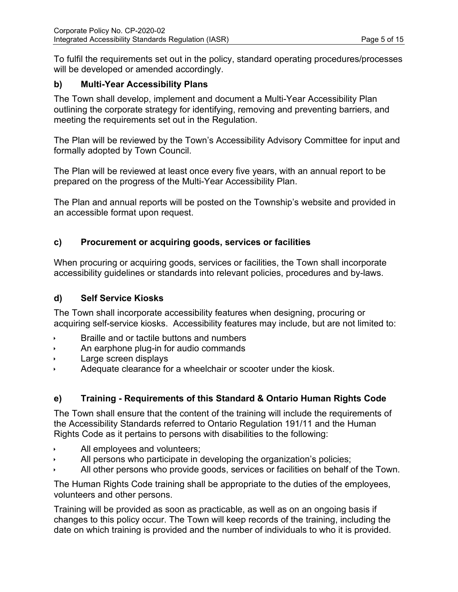To fulfil the requirements set out in the policy, standard operating procedures/processes will be developed or amended accordingly.

#### **b) Multi-Year Accessibility Plans**

The Town shall develop, implement and document a Multi-Year Accessibility Plan outlining the corporate strategy for identifying, removing and preventing barriers, and meeting the requirements set out in the Regulation.

The Plan will be reviewed by the Town's Accessibility Advisory Committee for input and formally adopted by Town Council.

The Plan will be reviewed at least once every five years, with an annual report to be prepared on the progress of the Multi-Year Accessibility Plan.

The Plan and annual reports will be posted on the Township's website and provided in an accessible format upon request.

#### **c) Procurement or acquiring goods, services or facilities**

When procuring or acquiring goods, services or facilities, the Town shall incorporate accessibility guidelines or standards into relevant policies, procedures and by-laws.

#### **d) Self Service Kiosks**

The Town shall incorporate accessibility features when designing, procuring or acquiring self-service kiosks. Accessibility features may include, but are not limited to:

- Braille and or tactile buttons and numbers
- An earphone plug-in for audio commands
- Large screen displays
- Adequate clearance for a wheelchair or scooter under the kiosk.

## **e) Training - Requirements of this Standard & Ontario Human Rights Code**

The Town shall ensure that the content of the training will include the requirements of the Accessibility Standards referred to Ontario Regulation 191/11 and the Human Rights Code as it pertains to persons with disabilities to the following:

- All employees and volunteers;
- All persons who participate in developing the organization's policies;
- All other persons who provide goods, services or facilities on behalf of the Town.

The Human Rights Code training shall be appropriate to the duties of the employees, volunteers and other persons.

Training will be provided as soon as practicable, as well as on an ongoing basis if changes to this policy occur. The Town will keep records of the training, including the date on which training is provided and the number of individuals to who it is provided.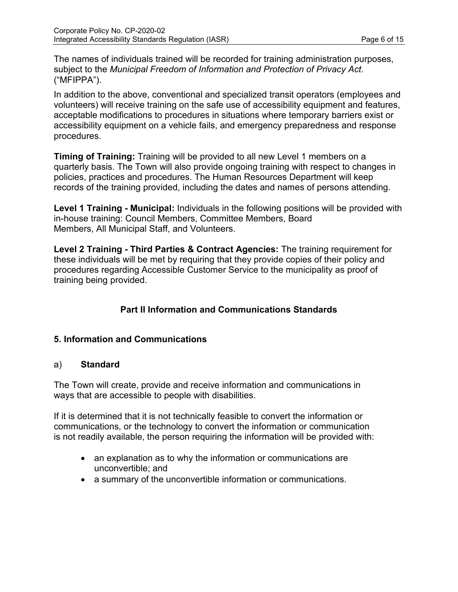The names of individuals trained will be recorded for training administration purposes, subject to the *Municipal Freedom of Information and Protection of Privacy Act*. ("MFIPPA").

In addition to the above, conventional and specialized transit operators (employees and volunteers) will receive training on the safe use of accessibility equipment and features, acceptable modifications to procedures in situations where temporary barriers exist or accessibility equipment on a vehicle fails, and emergency preparedness and response procedures.

**Timing of Training:** Training will be provided to all new Level 1 members on a quarterly basis. The Town will also provide ongoing training with respect to changes in policies, practices and procedures. The Human Resources Department will keep records of the training provided, including the dates and names of persons attending.

**Level 1 Training - Municipal:** Individuals in the following positions will be provided with in-house training: Council Members, Committee Members, Board Members, All Municipal Staff, and Volunteers.

**Level 2 Training - Third Parties & Contract Agencies:** The training requirement for these individuals will be met by requiring that they provide copies of their policy and procedures regarding Accessible Customer Service to the municipality as proof of training being provided.

## **Part II Information and Communications Standards**

## **5. Information and Communications**

#### a) **Standard**

The Town will create, provide and receive information and communications in ways that are accessible to people with disabilities.

If it is determined that it is not technically feasible to convert the information or communications, or the technology to convert the information or communication is not readily available, the person requiring the information will be provided with:

- an explanation as to why the information or communications are unconvertible; and
- a summary of the unconvertible information or communications.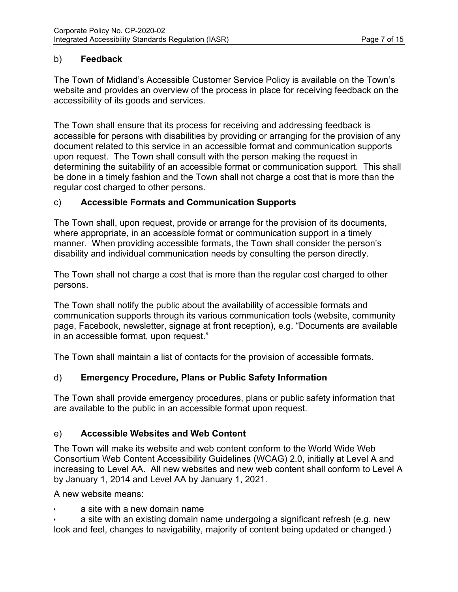## b) **Feedback**

The Town of Midland's Accessible Customer Service Policy is available on the Town's website and provides an overview of the process in place for receiving feedback on the accessibility of its goods and services.

The Town shall ensure that its process for receiving and addressing feedback is accessible for persons with disabilities by providing or arranging for the provision of any document related to this service in an accessible format and communication supports upon request. The Town shall consult with the person making the request in determining the suitability of an accessible format or communication support. This shall be done in a timely fashion and the Town shall not charge a cost that is more than the regular cost charged to other persons.

## c) **Accessible Formats and Communication Supports**

The Town shall, upon request, provide or arrange for the provision of its documents, where appropriate, in an accessible format or communication support in a timely manner. When providing accessible formats, the Town shall consider the person's disability and individual communication needs by consulting the person directly.

The Town shall not charge a cost that is more than the regular cost charged to other persons.

The Town shall notify the public about the availability of accessible formats and communication supports through its various communication tools (website, community page, Facebook, newsletter, signage at front reception), e.g. "Documents are available in an accessible format, upon request."

The Town shall maintain a list of contacts for the provision of accessible formats.

## d) **Emergency Procedure, Plans or Public Safety Information**

The Town shall provide emergency procedures, plans or public safety information that are available to the public in an accessible format upon request.

## e) **Accessible Websites and Web Content**

The Town will make its website and web content conform to the World Wide Web Consortium Web Content Accessibility Guidelines (WCAG) 2.0, initially at Level A and increasing to Level AA. All new websites and new web content shall conform to Level A by January 1, 2014 and Level AA by January 1, 2021.

A new website means:

a site with a new domain name

 a site with an existing domain name undergoing a significant refresh (e.g. new look and feel, changes to navigability, majority of content being updated or changed.)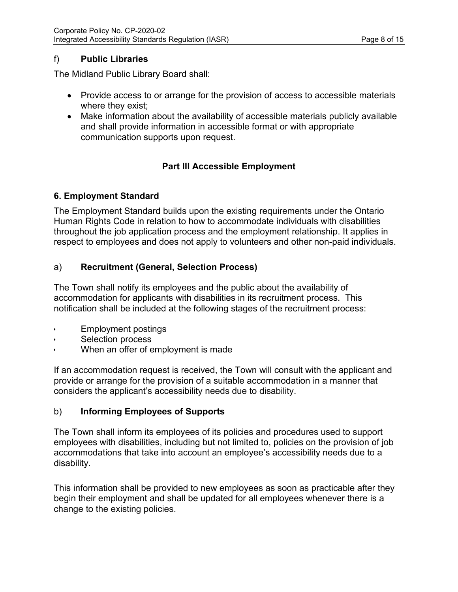## f) **Public Libraries**

The Midland Public Library Board shall:

- Provide access to or arrange for the provision of access to accessible materials where they exist;
- Make information about the availability of accessible materials publicly available and shall provide information in accessible format or with appropriate communication supports upon request.

## **Part III Accessible Employment**

#### **6. Employment Standard**

The Employment Standard builds upon the existing requirements under the Ontario Human Rights Code in relation to how to accommodate individuals with disabilities throughout the job application process and the employment relationship. It applies in respect to employees and does not apply to volunteers and other non-paid individuals.

## a) **Recruitment (General, Selection Process)**

The Town shall notify its employees and the public about the availability of accommodation for applicants with disabilities in its recruitment process. This notification shall be included at the following stages of the recruitment process:

- Employment postings
- Selection process
- When an offer of employment is made

If an accommodation request is received, the Town will consult with the applicant and provide or arrange for the provision of a suitable accommodation in a manner that considers the applicant's accessibility needs due to disability.

## b) **Informing Employees of Supports**

The Town shall inform its employees of its policies and procedures used to support employees with disabilities, including but not limited to, policies on the provision of job accommodations that take into account an employee's accessibility needs due to a disability.

This information shall be provided to new employees as soon as practicable after they begin their employment and shall be updated for all employees whenever there is a change to the existing policies.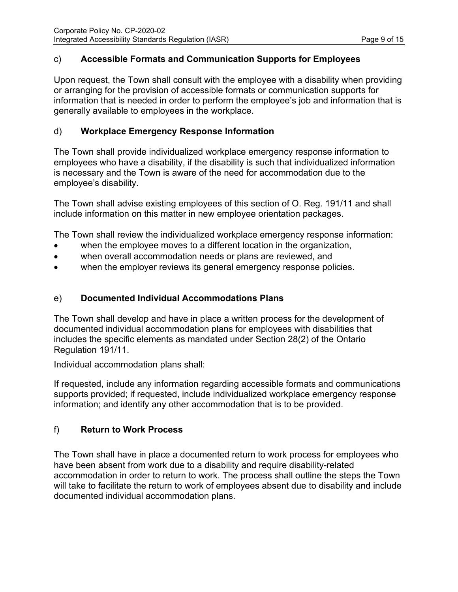#### c) **Accessible Formats and Communication Supports for Employees**

Upon request, the Town shall consult with the employee with a disability when providing or arranging for the provision of accessible formats or communication supports for information that is needed in order to perform the employee's job and information that is generally available to employees in the workplace.

## d) **Workplace Emergency Response Information**

The Town shall provide individualized workplace emergency response information to employees who have a disability, if the disability is such that individualized information is necessary and the Town is aware of the need for accommodation due to the employee's disability.

The Town shall advise existing employees of this section of O. Reg. 191/11 and shall include information on this matter in new employee orientation packages.

The Town shall review the individualized workplace emergency response information:

- when the employee moves to a different location in the organization,
- when overall accommodation needs or plans are reviewed, and
- when the employer reviews its general emergency response policies.

## e) **Documented Individual Accommodations Plans**

The Town shall develop and have in place a written process for the development of documented individual accommodation plans for employees with disabilities that includes the specific elements as mandated under Section 28(2) of the Ontario Regulation 191/11.

Individual accommodation plans shall:

If requested, include any information regarding accessible formats and communications supports provided; if requested, include individualized workplace emergency response information; and identify any other accommodation that is to be provided.

## f) **Return to Work Process**

The Town shall have in place a documented return to work process for employees who have been absent from work due to a disability and require disability-related accommodation in order to return to work. The process shall outline the steps the Town will take to facilitate the return to work of employees absent due to disability and include documented individual accommodation plans.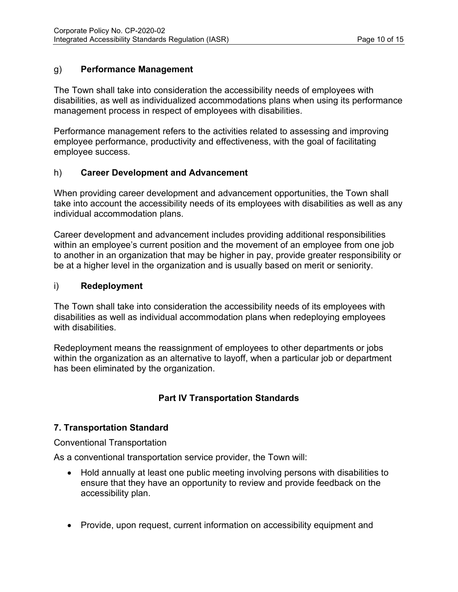#### g) **Performance Management**

The Town shall take into consideration the accessibility needs of employees with disabilities, as well as individualized accommodations plans when using its performance management process in respect of employees with disabilities.

Performance management refers to the activities related to assessing and improving employee performance, productivity and effectiveness, with the goal of facilitating employee success.

#### h) **Career Development and Advancement**

When providing career development and advancement opportunities, the Town shall take into account the accessibility needs of its employees with disabilities as well as any individual accommodation plans.

Career development and advancement includes providing additional responsibilities within an employee's current position and the movement of an employee from one job to another in an organization that may be higher in pay, provide greater responsibility or be at a higher level in the organization and is usually based on merit or seniority.

#### i) **Redeployment**

The Town shall take into consideration the accessibility needs of its employees with disabilities as well as individual accommodation plans when redeploying employees with disabilities

Redeployment means the reassignment of employees to other departments or jobs within the organization as an alternative to layoff, when a particular job or department has been eliminated by the organization.

# **Part IV Transportation Standards**

## **7. Transportation Standard**

Conventional Transportation

As a conventional transportation service provider, the Town will:

- Hold annually at least one public meeting involving persons with disabilities to ensure that they have an opportunity to review and provide feedback on the accessibility plan.
- Provide, upon request, current information on accessibility equipment and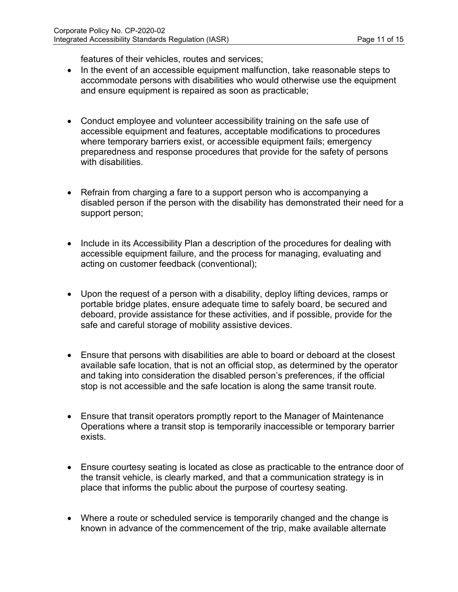features of their vehicles, routes and services;

- In the event of an accessible equipment malfunction, take reasonable steps to accommodate persons with disabilities who would otherwise use the equipment and ensure equipment is repaired as soon as practicable;
- Conduct employee and volunteer accessibility training on the safe use of accessible equipment and features, acceptable modifications to procedures where temporary barriers exist, or accessible equipment fails; emergency preparedness and response procedures that provide for the safety of persons with disabilities.
- Refrain from charging a fare to a support person who is accompanying a disabled person if the person with the disability has demonstrated their need for a support person;
- Include in its Accessibility Plan a description of the procedures for dealing with accessible equipment failure, and the process for managing, evaluating and acting on customer feedback (conventional);
- Upon the request of a person with a disability, deploy lifting devices, ramps or portable bridge plates, ensure adequate time to safely board, be secured and deboard, provide assistance for these activities, and if possible, provide for the safe and careful storage of mobility assistive devices.
- Ensure that persons with disabilities are able to board or deboard at the closest available safe location, that is not an official stop, as determined by the operator and taking into consideration the disabled person's preferences, if the official stop is not accessible and the safe location is along the same transit route.
- Ensure that transit operators promptly report to the Manager of Maintenance Operations where a transit stop is temporarily inaccessible or temporary barrier exists.
- Ensure courtesy seating is located as close as practicable to the entrance door of the transit vehicle, is clearly marked, and that a communication strategy is in place that informs the public about the purpose of courtesy seating.
- Where a route or scheduled service is temporarily changed and the change is known in advance of the commencement of the trip, make available alternate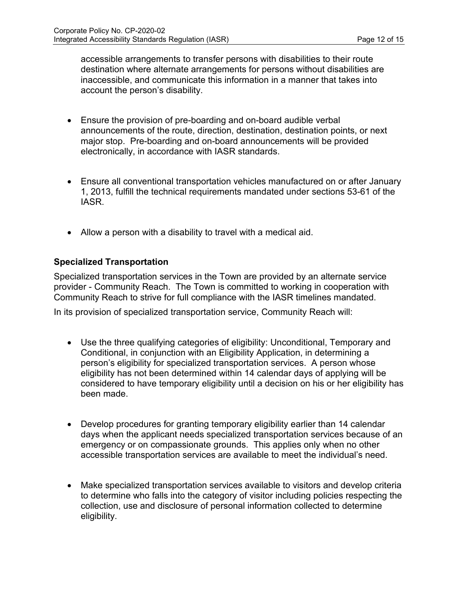accessible arrangements to transfer persons with disabilities to their route destination where alternate arrangements for persons without disabilities are inaccessible, and communicate this information in a manner that takes into account the person's disability.

- Ensure the provision of pre-boarding and on-board audible verbal announcements of the route, direction, destination, destination points, or next major stop. Pre-boarding and on-board announcements will be provided electronically, in accordance with IASR standards.
- Ensure all conventional transportation vehicles manufactured on or after January 1, 2013, fulfill the technical requirements mandated under sections 53-61 of the IASR.
- Allow a person with a disability to travel with a medical aid.

#### **Specialized Transportation**

Specialized transportation services in the Town are provided by an alternate service provider - Community Reach. The Town is committed to working in cooperation with Community Reach to strive for full compliance with the IASR timelines mandated.

In its provision of specialized transportation service, Community Reach will:

- Use the three qualifying categories of eligibility: Unconditional, Temporary and Conditional, in conjunction with an Eligibility Application, in determining a person's eligibility for specialized transportation services. A person whose eligibility has not been determined within 14 calendar days of applying will be considered to have temporary eligibility until a decision on his or her eligibility has been made.
- Develop procedures for granting temporary eligibility earlier than 14 calendar days when the applicant needs specialized transportation services because of an emergency or on compassionate grounds. This applies only when no other accessible transportation services are available to meet the individual's need.
- Make specialized transportation services available to visitors and develop criteria to determine who falls into the category of visitor including policies respecting the collection, use and disclosure of personal information collected to determine eligibility.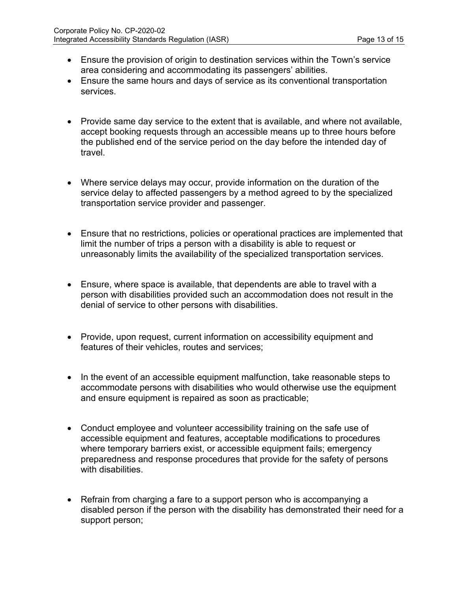- Ensure the provision of origin to destination services within the Town's service area considering and accommodating its passengers' abilities.
- Ensure the same hours and days of service as its conventional transportation services.
- Provide same day service to the extent that is available, and where not available, accept booking requests through an accessible means up to three hours before the published end of the service period on the day before the intended day of travel.
- Where service delays may occur, provide information on the duration of the service delay to affected passengers by a method agreed to by the specialized transportation service provider and passenger.
- Ensure that no restrictions, policies or operational practices are implemented that limit the number of trips a person with a disability is able to request or unreasonably limits the availability of the specialized transportation services.
- Ensure, where space is available, that dependents are able to travel with a person with disabilities provided such an accommodation does not result in the denial of service to other persons with disabilities.
- Provide, upon request, current information on accessibility equipment and features of their vehicles, routes and services;
- In the event of an accessible equipment malfunction, take reasonable steps to accommodate persons with disabilities who would otherwise use the equipment and ensure equipment is repaired as soon as practicable;
- Conduct employee and volunteer accessibility training on the safe use of accessible equipment and features, acceptable modifications to procedures where temporary barriers exist, or accessible equipment fails; emergency preparedness and response procedures that provide for the safety of persons with disabilities.
- Refrain from charging a fare to a support person who is accompanying a disabled person if the person with the disability has demonstrated their need for a support person;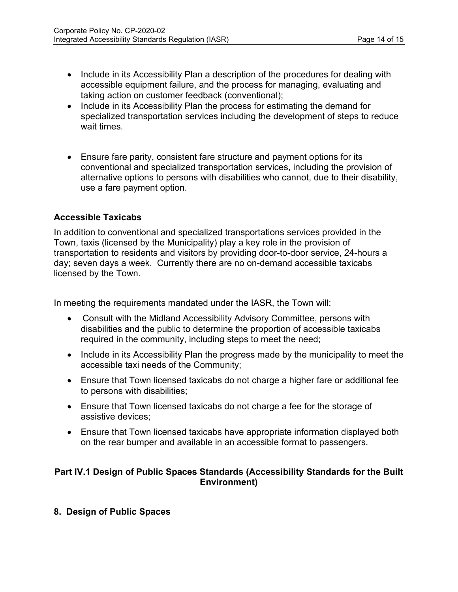- Include in its Accessibility Plan a description of the procedures for dealing with accessible equipment failure, and the process for managing, evaluating and taking action on customer feedback (conventional);
- Include in its Accessibility Plan the process for estimating the demand for specialized transportation services including the development of steps to reduce wait times.
- Ensure fare parity, consistent fare structure and payment options for its conventional and specialized transportation services, including the provision of alternative options to persons with disabilities who cannot, due to their disability, use a fare payment option.

## **Accessible Taxicabs**

In addition to conventional and specialized transportations services provided in the Town, taxis (licensed by the Municipality) play a key role in the provision of transportation to residents and visitors by providing door-to-door service, 24-hours a day; seven days a week. Currently there are no on-demand accessible taxicabs licensed by the Town.

In meeting the requirements mandated under the IASR, the Town will:

- Consult with the Midland Accessibility Advisory Committee, persons with disabilities and the public to determine the proportion of accessible taxicabs required in the community, including steps to meet the need;
- Include in its Accessibility Plan the progress made by the municipality to meet the accessible taxi needs of the Community;
- Ensure that Town licensed taxicabs do not charge a higher fare or additional fee to persons with disabilities;
- Ensure that Town licensed taxicabs do not charge a fee for the storage of assistive devices;
- Ensure that Town licensed taxicabs have appropriate information displayed both on the rear bumper and available in an accessible format to passengers.

## **Part IV.1 Design of Public Spaces Standards (Accessibility Standards for the Built Environment)**

**8. Design of Public Spaces**